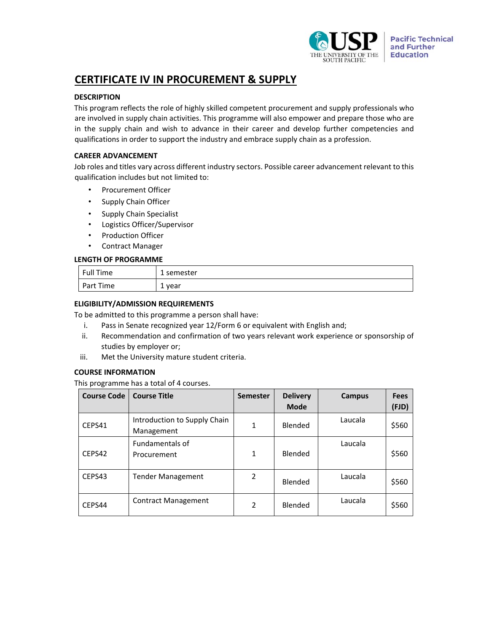

# **CERTIFICATE IV IN PROCUREMENT & SUPPLY**

# **DESCRIPTION**

This program reflects the role of highly skilled competent procurement and supply professionals who are involved in supply chain activities. This programme will also empower and prepare those who are in the supply chain and wish to advance in their career and develop further competencies and qualifications in order to support the industry and embrace supply chain as a profession.

### **CAREER ADVANCEMENT**

Job roles and titles vary across different industry sectors. Possible career advancement relevant to this qualification includes but not limited to:

- Procurement Officer
- Supply Chain Officer
- Supply Chain Specialist
- Logistics Officer/Supervisor
- Production Officer
- Contract Manager

# **LENGTH OF PROGRAMME**

| Full Time | 1 semester |
|-----------|------------|
| Part Time | year<br>∸  |

# **ELIGIBILITY/ADMISSION REQUIREMENTS**

To be admitted to this programme a person shall have:

- i. Pass in Senate recognized year 12/Form 6 or equivalent with English and;
- ii. Recommendation and confirmation of two years relevant work experience or sponsorship of studies by employer or;
- iii. Met the University mature student criteria.

#### **COURSE INFORMATION**

This programme has a total of 4 courses.

| <b>Course Code</b> | <b>Course Title</b>                        | <b>Semester</b> | <b>Delivery</b><br><b>Mode</b> | <b>Campus</b> | <b>Fees</b><br>(FJD) |
|--------------------|--------------------------------------------|-----------------|--------------------------------|---------------|----------------------|
| CEPS41             | Introduction to Supply Chain<br>Management | 1               | Blended                        | Laucala       | \$560                |
| CEPS42             | <b>Fundamentals of</b><br>Procurement      | 1               | Blended                        | Laucala       | \$560                |
| CEPS43             | <b>Tender Management</b>                   | 2               | Blended                        | Laucala       | \$560                |
| CEPS44             | <b>Contract Management</b>                 | $\mathfrak{p}$  | Blended                        | Laucala       | \$560                |